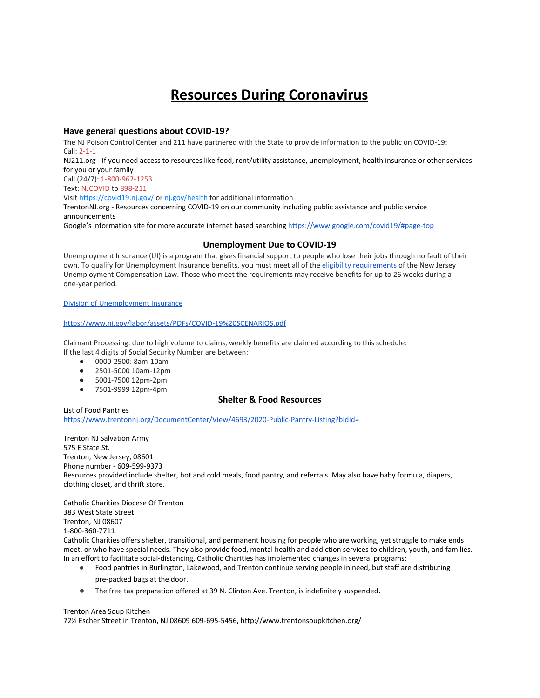# **Resources During Coronavirus**

## **Have general questions about COVID-19?**

The NJ Poison Control Center and 211 have partnered with the State to provide information to the public on COVID-19: Call: 2-1-1

NJ211.org - If you need access to resources like food, rent/utility assistance, unemployment, health insurance or other services for you or your family

Call (24/7): 1-800-962-1253

Text: NJCOVID to 898-211

Visit <https://covid19.nj.gov/>or [nj.gov/health](https://www.nj.gov/health/cd/topics/ncov.shtml) for additional information

TrentonNJ.org - Resources concerning COVID-19 on our community including public assistance and public service announcements

Google's information site for more accurate internet based searching <https://www.google.com/covid19/#page-top>

### **Unemployment Due to COVID-19**

Unemployment Insurance (UI) is a program that gives financial support to people who lose their jobs through no fault of their own. To qualify for Unemployment Insurance benefits, you must meet all of the [eligibility requirements](https://myunemployment.nj.gov/labor/myunemployment/before/about/who/index.shtml) of the New Jersey Unemployment Compensation Law. Those who meet the requirements may receive benefits for up to 26 weeks during a one-year period.

#### [Division of Unemployment Insurance](https://myunemployment.nj.gov/labor/myunemployment/)

#### <https://www.nj.gov/labor/assets/PDFs/COVID-19%20SCENARIOS.pdf>

Claimant Processing: due to high volume to claims, weekly benefits are claimed according to this schedule: If the last 4 digits of Social Security Number are between:

- 0000-2500: 8am-10am
- 2501-5000 10am-12pm
- 5001-7500 12pm-2pm
- 7501-9999 12pm-4pm

# **Shelter & Food Resources**

List of Food Pantries <https://www.trentonnj.org/DocumentCenter/View/4693/2020-Public-Pantry-Listing?bidId=>

Trenton NJ Salvation Army 575 E State St. Trenton, New Jersey, 08601 Phone number - 609-599-9373 Resources provided include shelter, hot and cold meals, food pantry, and referrals. May also have baby formula, diapers, clothing closet, and thrift store.

Catholic Charities Diocese Of Trenton 383 West State Street Trenton, NJ 08607 1-800-360-7711 Catholic Charities offers shelter, transitional, and permanent housing for people who are working, yet struggle to make ends

meet, or who have special needs. They also provide food, mental health and addiction services to children, youth, and families. In an effort to facilitate social-distancing, Catholic Charities has implemented changes in several programs:

- Food pantries in Burlington, Lakewood, and Trenton continue serving people in need, but staff are distributing pre-packed bags at the door.
- The free tax preparation offered at 39 N. Clinton Ave. Trenton, is indefinitely suspended.

#### Trenton Area Soup Kitchen

72½ Escher Street in Trenton, NJ 08609 609-695-5456, http://www.trentonsoupkitchen.org/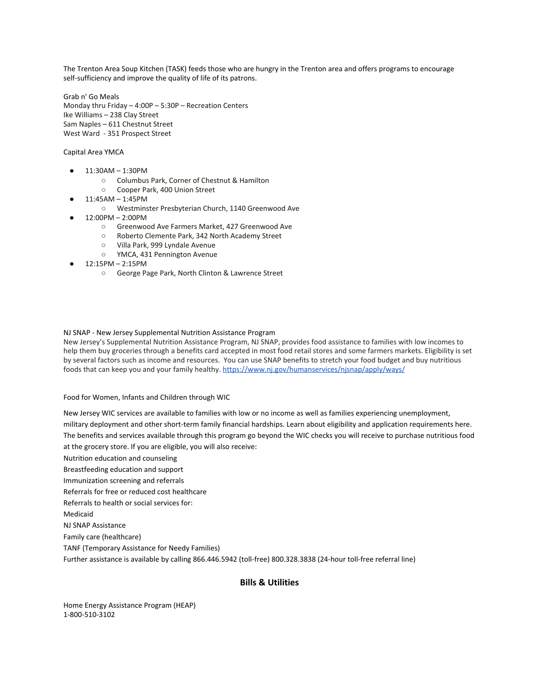The Trenton Area Soup Kitchen (TASK) feeds those who are hungry in the Trenton area and offers programs to encourage self-sufficiency and improve the quality of life of its patrons.

Grab n' Go Meals Monday thru Friday – 4:00P – 5:30P – Recreation Centers Ike Williams – 238 Clay Street Sam Naples – 611 Chestnut Street West Ward - 351 Prospect Street

#### Capital Area YMCA

- 11:30AM 1:30PM
	- Columbus Park, Corner of Chestnut & Hamilton
	- Cooper Park, 400 Union Street
- 11:45AM 1:45PM
	- Westminster Presbyterian Church, 1140 Greenwood Ave
- 12:00PM 2:00PM
	- Greenwood Ave Farmers Market, 427 Greenwood Ave
	- Roberto Clemente Park, 342 North Academy Street
	- Villa Park, 999 Lyndale Avenue
	- YMCA, 431 Pennington Avenue
- 12:15PM 2:15PM
	- George Page Park, North Clinton & Lawrence Street

#### NJ SNAP - New Jersey Supplemental Nutrition Assistance Program

New Jersey's Supplemental Nutrition Assistance Program, NJ SNAP, provides food assistance to families with low incomes to help them buy groceries through a benefits card accepted in most food retail stores and some farmers markets. Eligibility is set by several factors such as income and resources. You can use SNAP benefits to stretch your food budget and buy nutritious foods that can keep you and your family healthy. https://www.ni.gov/humanservices/nisnap/apply/ways/

Food for Women, Infants and Children through WIC

New Jersey WIC services are available to families with low or no income as well as families experiencing unemployment, military deployment and other short-term family financial hardships. Learn about eligibility and application requirements here. The benefits and services available through this program go beyond the WIC checks you will receive to purchase nutritious food at the grocery store. If you are eligible, you will also receive: Nutrition education and counseling Breastfeeding education and support Immunization screening and referrals Referrals for free or reduced cost healthcare Referrals to health or social services for: Medicaid NJ SNAP Assistance Family care (healthcare) TANF (Temporary Assistance for Needy Families) Further assistance is available by calling 866.446.5942 (toll-free) 800.328.3838 (24-hour toll-free referral line)

# **Bills & Utilities**

Home Energy Assistance Program (HEAP) 1-800-510-3102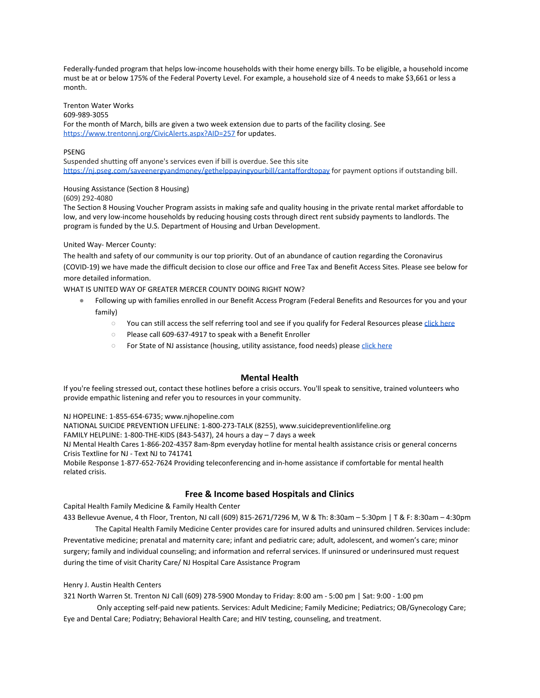Federally-funded program that helps low-income households with their home energy bills. To be eligible, a household income must be at or below 175% of the Federal Poverty Level. For example, a household size of 4 needs to make \$3,661 or less a month.

Trenton Water Works

609-989-3055

For the month of March, bills are given a two week extension due to parts of the facility closing. See <https://www.trentonnj.org/CivicAlerts.aspx?AID=257>for updates.

#### PSENG

Suspended shutting off anyone's services even if bill is overdue. See this site https://ni.pseg.com/saveenergyandmoney/gethelppayingyourbill/cantaffordtopay for payment options if outstanding bill.

# Housing Assistance (Section 8 Housing)

(609) 292-4080

The Section 8 Housing Voucher Program assists in making safe and quality housing in the private rental market affordable to low, and very low-income households by reducing housing costs through direct rent subsidy payments to landlords. The program is funded by the U.S. Department of Housing and Urban Development.

#### United Way- Mercer County:

The health and safety of our community is our top priority. Out of an abundance of caution regarding the Coronavirus (COVID-19) we have made the difficult decision to close our office and Free Tax and Benefit Access Sites. Please see below for more detailed information.

WHAT IS UNITED WAY OF GREATER MERCER COUNTY DOING RIGHT NOW?

- Following up with families enrolled in our Benefit Access Program (Federal Benefits and Resources for you and your family)
	- You can still access the self referring tool and see if you qualify for Federal Resources please [click here](https://uwgmc.singlestoptechnologies.com/)
	- Please call 609-637-4917 to speak with a Benefit Enroller
	- For State of NJ assistance (housing, utility assistance, food needs) please [click here](http://www.nj.gov/dca/dcaid)

#### **Mental Health**

If you're feeling stressed out, contact these hotlines before a crisis occurs. You'll speak to sensitive, trained volunteers who provide empathic listening and refer you to resources in your community.

NJ HOPELINE: 1-855-654-6735; [www.njhopeline.com](http://www.njhopeline.com/)

NATIONAL SUICIDE PREVENTION LIFELINE: 1-800-273-TALK (8255), [www.suicidepreventionlifeline.org](http://www.suicidepreventionlifeline.org/)

FAMILY HELPLINE: 1-800-THE-KIDS (843-5437), 24 hours a day – 7 days a week

NJ Mental Health Cares 1-866-202-4357 8am-8pm everyday hotline for mental health assistance crisis or general concerns Crisis Textline for NJ - Text NJ to 741741

Mobile Response 1-877-652-7624 Providing teleconferencing and in-home assistance if comfortable for mental health related crisis.

# **Free & Income based Hospitals and Clinics**

Capital Health Family Medicine & Family Health Center

433 Bellevue Avenue, 4 th Floor, Trenton, NJ call (609) 815-2671/7296 M, W & Th: 8:30am – 5:30pm | T & F: 8:30am – 4:30pm The Capital Health Family Medicine Center provides care for insured adults and uninsured children. Services include:

Preventative medicine; prenatal and maternity care; infant and pediatric care; adult, adolescent, and women's care; minor surgery; family and individual counseling; and information and referral services. If uninsured or underinsured must request during the time of visit Charity Care/ NJ Hospital Care Assistance Program

#### Henry J. Austin Health Centers

321 North Warren St. Trenton NJ Call (609) 278-5900 Monday to Friday: 8:00 am - 5:00 pm | Sat: 9:00 - 1:00 pm

 Only accepting self-paid new patients. Services: Adult Medicine; Family Medicine; Pediatrics; OB/Gynecology Care; Eye and Dental Care; Podiatry; Behavioral Health Care; and HIV testing, counseling, and treatment.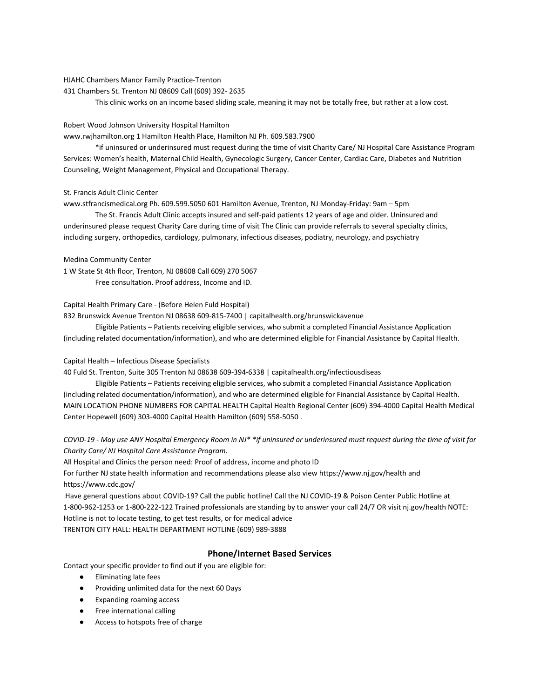#### HJAHC Chambers Manor Family Practice-Trenton

431 Chambers St. Trenton NJ 08609 Call (609) 392- 2635

This clinic works on an income based sliding scale, meaning it may not be totally free, but rather at a low cost.

#### Robert Wood Johnson University Hospital Hamilton

www.rwjhamilton.org 1 Hamilton Health Place, Hamilton NJ Ph. 609.583.7900

\*if uninsured or underinsured must request during the time of visit Charity Care/ NJ Hospital Care Assistance Program Services: Women's health, Maternal Child Health, Gynecologic Surgery, Cancer Center, Cardiac Care, Diabetes and Nutrition Counseling, Weight Management, Physical and Occupational Therapy.

#### St. Francis Adult Clinic Center

www.stfrancismedical.org Ph. 609.599.5050 601 Hamilton Avenue, Trenton, NJ Monday-Friday: 9am – 5pm

The St. Francis Adult Clinic accepts insured and self-paid patients 12 years of age and older. Uninsured and underinsured please request Charity Care during time of visit The Clinic can provide referrals to several specialty clinics, including surgery, orthopedics, cardiology, pulmonary, infectious diseases, podiatry, neurology, and psychiatry

#### Medina Community Center

1 W State St 4th floor, Trenton, NJ 08608 Call 609) 270 5067 Free consultation. Proof address, Income and ID.

#### Capital Health Primary Care - (Before Helen Fuld Hospital)

832 Brunswick Avenue Trenton NJ 08638 609-815-7400 | capitalhealth.org/brunswickavenue

Eligible Patients – Patients receiving eligible services, who submit a completed Financial Assistance Application (including related documentation/information), and who are determined eligible for Financial Assistance by Capital Health.

#### Capital Health – Infectious Disease Specialists

40 Fuld St. Trenton, Suite 305 Trenton NJ 08638 609-394-6338 | capitalhealth.org/infectiousdiseas

Eligible Patients – Patients receiving eligible services, who submit a completed Financial Assistance Application (including related documentation/information), and who are determined eligible for Financial Assistance by Capital Health. MAIN LOCATION PHONE NUMBERS FOR CAPITAL HEALTH Capital Health Regional Center (609) 394-4000 Capital Health Medical Center Hopewell (609) 303-4000 Capital Health Hamilton (609) 558-5050 .

*COVID-19 - May use ANY Hospital Emergency Room in NJ\* \*if uninsured or underinsured must request during the time of visit for Charity Care/ NJ Hospital Care Assistance Program.*

All Hospital and Clinics the person need: Proof of address, income and photo ID

For further NJ state health information and recommendations please also view https://www.nj.gov/health and https://www.cdc.gov/

 Have general questions about COVID-19? Call the public hotline! Call the NJ COVID-19 & Poison Center Public Hotline at 1-800-962-1253 or 1-800-222-122 Trained professionals are standing by to answer your call 24/7 OR visit nj.gov/health NOTE: Hotline is not to locate testing, to get test results, or for medical advice

TRENTON CITY HALL: HEALTH DEPARTMENT HOTLINE (609) 989-3888

#### **Phone/Internet Based Services**

Contact your specific provider to find out if you are eligible for:

- Eliminating late fees
- Providing unlimited data for the next 60 Days
- Expanding roaming access
- Free international calling
- Access to hotspots free of charge